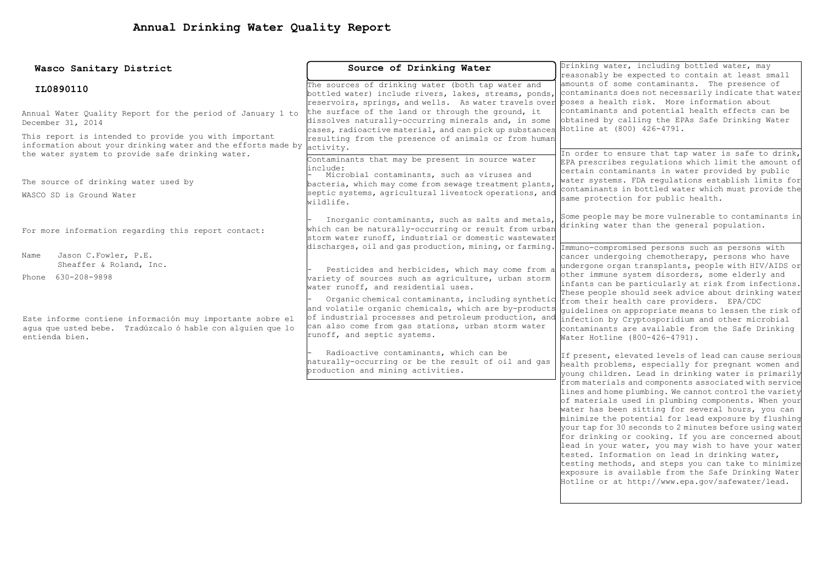| Wasco Sanitary District                                                 | Source of Drinking Water                                                                                       | Drinking water, including bottled water, may                                                          |  |  |  |
|-------------------------------------------------------------------------|----------------------------------------------------------------------------------------------------------------|-------------------------------------------------------------------------------------------------------|--|--|--|
|                                                                         |                                                                                                                | reasonably be expected to contain at least small                                                      |  |  |  |
| IL0890110                                                               | The sources of drinking water (both tap water and                                                              | amounts of some contaminants. The presence of                                                         |  |  |  |
|                                                                         | bottled water) include rivers, lakes, streams, ponds,                                                          | contaminants does not necessarily indicate that water                                                 |  |  |  |
|                                                                         | reservoirs, springs, and wells. As water travels over                                                          | poses a health risk. More information about<br>contaminants and potential health effects can be       |  |  |  |
| Annual Water Quality Report for the period of January 1 to              | the surface of the land or through the ground, it<br>dissolves naturally-occurring minerals and, in some       | obtained by calling the EPAs Safe Drinking Water                                                      |  |  |  |
| December 31, 2014                                                       | cases, radioactive material, and can pick up substances                                                        | Hotline at (800) 426-4791.                                                                            |  |  |  |
| This report is intended to provide you with important                   | resulting from the presence of animals or from human                                                           |                                                                                                       |  |  |  |
| information about your drinking water and the efforts made by activity. |                                                                                                                |                                                                                                       |  |  |  |
| the water system to provide safe drinking water.                        | Contaminants that may be present in source water                                                               | In order to ensure that tap water is safe to drink,                                                   |  |  |  |
|                                                                         | include:                                                                                                       | EPA prescribes regulations which limit the amount of                                                  |  |  |  |
|                                                                         | Microbial contaminants, such as viruses and                                                                    | certain contaminants in water provided by public                                                      |  |  |  |
| The source of drinking water used by                                    | bacteria, which may come from sewage treatment plants,                                                         | water systems. FDA requlations establish limits for                                                   |  |  |  |
| WASCO SD is Ground Water                                                | septic systems, agricultural livestock operations, and                                                         | contaminants in bottled water which must provide the<br>same protection for public health.            |  |  |  |
|                                                                         | wildlife.                                                                                                      |                                                                                                       |  |  |  |
|                                                                         |                                                                                                                | Some people may be more vulnerable to contaminants in                                                 |  |  |  |
|                                                                         | Inorganic contaminants, such as salts and metals,                                                              | drinking water than the general population.                                                           |  |  |  |
| For more information regarding this report contact:                     | which can be naturally-occurring or result from urban<br>storm water runoff, industrial or domestic wastewater |                                                                                                       |  |  |  |
|                                                                         | discharges, oil and gas production, mining, or farming.                                                        | Immuno-compromised persons such as persons with                                                       |  |  |  |
| Jason C. Fowler, P.E.<br>Name                                           |                                                                                                                | cancer undergoing chemotherapy, persons who have                                                      |  |  |  |
| Sheaffer & Roland, Inc.                                                 |                                                                                                                | undergone organ transplants, people with HIV/AIDS or                                                  |  |  |  |
| 630-208-9898                                                            | Pesticides and herbicides, which may come from a                                                               | other immune system disorders, some elderly and                                                       |  |  |  |
| Phone                                                                   | variety of sources such as agriculture, urban storm                                                            | infants can be particularly at risk from infections.                                                  |  |  |  |
|                                                                         | water runoff, and residential uses.                                                                            | These people should seek advice about drinking water                                                  |  |  |  |
|                                                                         | Organic chemical contaminants, including synthetic                                                             | from their health care providers. EPA/CDC                                                             |  |  |  |
|                                                                         | and volatile organic chemicals, which are by-products                                                          | quidelines on appropriate means to lessen the risk of                                                 |  |  |  |
| Este informe contiene información muy importante sobre el               | of industrial processes and petroleum production, and                                                          | infection by Cryptosporidium and other microbial                                                      |  |  |  |
| aqua que usted bebe. Tradúzcalo ó hable con alquien que lo              | can also come from gas stations, urban storm water<br>runoff, and septic systems.                              | contaminants are available from the Safe Drinking                                                     |  |  |  |
| entienda bien.                                                          |                                                                                                                | Water Hotline (800-426-4791).                                                                         |  |  |  |
|                                                                         | Radioactive contaminants, which can be                                                                         | If present, elevated levels of lead can cause serious                                                 |  |  |  |
|                                                                         | haturally-occurring or be the result of oil and gas                                                            | health problems, especially for pregnant women and                                                    |  |  |  |
|                                                                         | production and mining activities.                                                                              | young children. Lead in drinking water is primarily                                                   |  |  |  |
|                                                                         |                                                                                                                | from materials and components associated with service                                                 |  |  |  |
|                                                                         |                                                                                                                | lines and home plumbing. We cannot control the variety                                                |  |  |  |
|                                                                         |                                                                                                                | of materials used in plumbing components. When your                                                   |  |  |  |
|                                                                         |                                                                                                                | water has been sitting for several hours, you can                                                     |  |  |  |
|                                                                         |                                                                                                                | minimize the potential for lead exposure by flushing                                                  |  |  |  |
|                                                                         |                                                                                                                | your tap for 30 seconds to 2 minutes before using water                                               |  |  |  |
|                                                                         |                                                                                                                | for drinking or cooking. If you are concerned about                                                   |  |  |  |
|                                                                         |                                                                                                                | lead in your water, you may wish to have your water                                                   |  |  |  |
|                                                                         |                                                                                                                | tested. Information on lead in drinking water,<br>testing methods, and steps you can take to minimize |  |  |  |
|                                                                         |                                                                                                                | exposure is available from the Safe Drinking Water                                                    |  |  |  |
|                                                                         |                                                                                                                | Hotline or at http://www.epa.gov/safewater/lead.                                                      |  |  |  |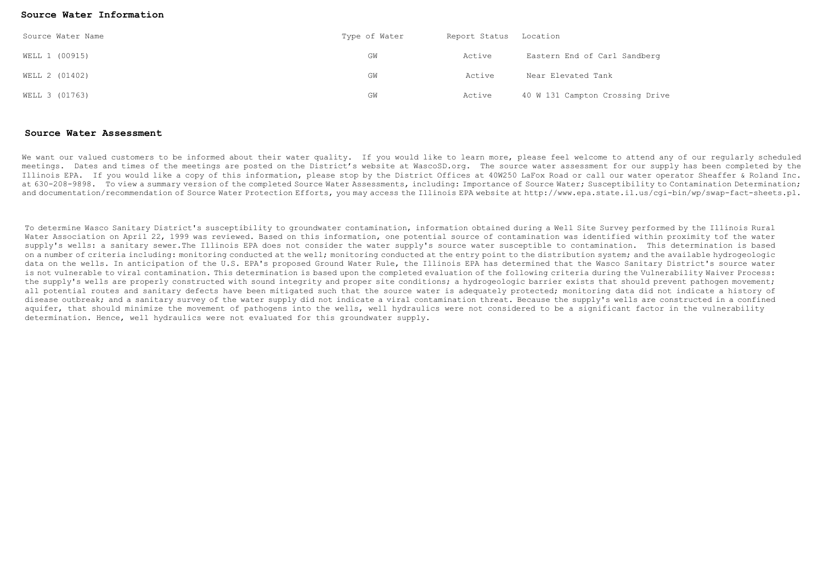#### **Source Water Information**

| Source Water Name | Type of Water | Report Status | Location                        |
|-------------------|---------------|---------------|---------------------------------|
| WELL 1 (00915)    | GW            | Active        | Eastern End of Carl Sandberg    |
| WELL 2 (01402)    | GW            | Active        | Near Elevated Tank              |
| WELL 3 (01763)    | GW            | Active        | 40 W 131 Campton Crossing Drive |

#### **Source Water Assessment**

We want our valued customers to be informed about their water quality. If you would like to learn more, please feel welcome to attend any of our reqularly scheduled meetings. Dates and times of the meetings are posted on the District's website at WascoSD.org. The source water assessment for our supply has been completed by the Illinois EPA. If you would like a copy of this information, please stop by the District Offices at 40W250 LaFox Road or call our water operator Sheaffer & Roland Inc. at 630-208-9898. To view a summary version of the completed Source Water Assessments, including: Importance of Source Water; Susceptibility to Contamination Determination; and documentation/recommendation of Source Water Protection Efforts, you may access the Illinois EPA website at http://www.epa.state.il.us/cgi-bin/wp/swap-fact-sheets.pl.

To determine Wasco Sanitary District's susceptibility to groundwater contamination, information obtained during a Well Site Survey performed by the Illinois Rural Water Association on April 22, 1999 was reviewed. Based on this information, one potential source of contamination was identified within proximity tof the water supply's wells: a sanitary sewer.The Illinois EPA does not consider the water supply's source water susceptible to contamination. This determination is based on a number of criteria including: monitoring conducted at the well; monitoring conducted at the entry point to the distribution system; and the available hydrogeologic data on the wells. In anticipation of the U.S. EPA's proposed Ground Water Rule, the Illinois EPA has determined that the Wasco Sanitary District's source water is not vulnerable to viral contamination. This determination is based upon the completed evaluation of the following criteria during the Vulnerability Waiver Process: the supply's wells are properly constructed with sound integrity and proper site conditions; a hydrogeologic barrier exists that should prevent pathogen movement; all potential routes and sanitary defects have been mitigated such that the source water is adequately protected; monitoring data did not indicate a history of disease outbreak; and a sanitary survey of the water supply did not indicate a viral contamination threat. Because the supply's wells are constructed in a confined aquifer, that should minimize the movement of pathogens into the wells, well hydraulics were not considered to be a significant factor in the vulnerability determination. Hence, well hydraulics were not evaluated for this groundwater supply.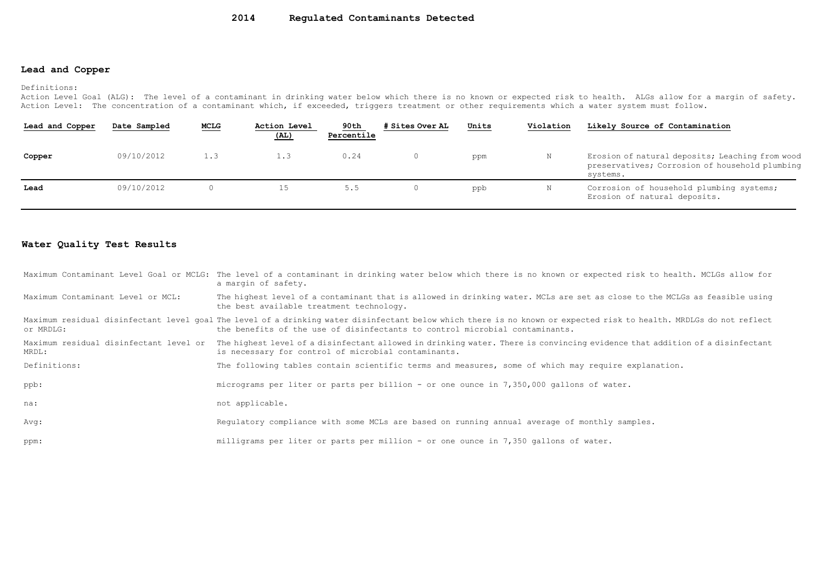### **2014 Regulated Contaminants Detected**

### **Lead and Copper**

#### Definitions:

Action Level Goal (ALG): The level of a contaminant in drinking water below which there is no known or expected risk to health. ALGs allow for a margin of safety. Action Level: The concentration of a contaminant which, if exceeded, triggers treatment or other requirements which a water system must follow.

| Lead and Copper | Date Sampled | <b>MCLG</b> | Action Level<br>(AL) | 90th<br>Percentile | # Sites Over AL | Units | Violation | Likely Source of Contamination                                                                                |
|-----------------|--------------|-------------|----------------------|--------------------|-----------------|-------|-----------|---------------------------------------------------------------------------------------------------------------|
| Copper          | 09/10/2012   | 1.3         | 1.3                  | 0.24               |                 | ppm   | Ν         | Erosion of natural deposits; Leaching from wood<br>preservatives; Corrosion of household plumbing<br>systems. |
| Lead            | 09/10/2012   |             |                      | 5.5                |                 | ppb   | N         | Corrosion of household plumbing systems;<br>Erosion of natural deposits.                                      |

## **Water Quality Test Results**

|                                                 | Maximum Contaminant Level Goal or MCLG: The level of a contaminant in drinking water below which there is no known or expected risk to health. MCLGs allow for<br>a margin of safety.                                                              |
|-------------------------------------------------|----------------------------------------------------------------------------------------------------------------------------------------------------------------------------------------------------------------------------------------------------|
| Maximum Contaminant Level or MCL:               | The highest level of a contaminant that is allowed in drinking water. MCLs are set as close to the MCLGs as feasible using<br>the best available treatment technology.                                                                             |
| or MRDLG:                                       | Maximum residual disinfectant level qoal The level of a drinking water disinfectant below which there is no known or expected risk to health. MRDLGs do not reflect<br>the benefits of the use of disinfectants to control microbial contaminants. |
| Maximum residual disinfectant level or<br>MRDL: | The highest level of a disinfectant allowed in drinking water. There is convincing evidence that addition of a disinfectant<br>is necessary for control of microbial contaminants.                                                                 |
| Definitions:                                    | The following tables contain scientific terms and measures, some of which may require explanation.                                                                                                                                                 |
| ppb:                                            | micrograms per liter or parts per billion - or one ounce in 7,350,000 gallons of water.                                                                                                                                                            |
| na:                                             | not applicable.                                                                                                                                                                                                                                    |
| Avg:                                            | Requlatory compliance with some MCLs are based on running annual average of monthly samples.                                                                                                                                                       |
| ppm:                                            | milligrams per liter or parts per million - or one ounce in $7,350$ gallons of water.                                                                                                                                                              |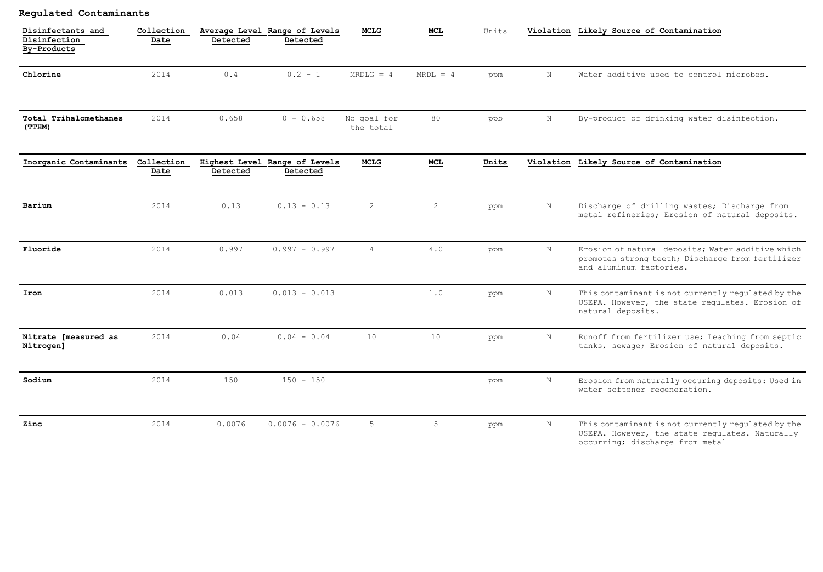# **Regulated Contaminants**

| Disinfectants and<br>Disinfection<br>By-Products | Collection<br>Date | Detected | Average Level Range of Levels<br>Detected | <b>MCLG</b>              | MCL.            | Units |             | Violation Likely Source of Contamination                                                                                                |
|--------------------------------------------------|--------------------|----------|-------------------------------------------|--------------------------|-----------------|-------|-------------|-----------------------------------------------------------------------------------------------------------------------------------------|
| Chlorine                                         | 2014               | 0.4      | $0.2 - 1$                                 | $MRDLG = 4$              | $MRDL = 4$      | ppm   | $_{\rm N}$  | Water additive used to control microbes.                                                                                                |
| Total Trihalomethanes<br>(TTHM)                  | 2014               | 0.658    | $0 - 0.658$                               | No goal for<br>the total | 80              | ppb   | $\mathbf N$ | By-product of drinking water disinfection.                                                                                              |
| Inorganic Contaminants                           | Collection<br>Date | Detected | Highest Level Range of Levels<br>Detected | <b>MCLG</b>              | MCL.            | Units |             | Violation Likely Source of Contamination                                                                                                |
| Barium                                           | 2014               | 0.13     | $0.13 - 0.13$                             | 2                        | $\overline{c}$  | ppm   | N           | Discharge of drilling wastes; Discharge from<br>metal refineries; Erosion of natural deposits.                                          |
| Fluoride                                         | 2014               | 0.997    | $0.997 - 0.997$                           | $\overline{4}$           | 4.0             | ppm   | $\mathbf N$ | Erosion of natural deposits; Water additive which<br>promotes strong teeth; Discharge from fertilizer<br>and aluminum factories.        |
| Iron                                             | 2014               | 0.013    | $0.013 - 0.013$                           |                          | 1.0             | ppm   | N           | This contaminant is not currently regulated by the<br>USEPA. However, the state regulates. Erosion of<br>natural deposits.              |
| Nitrate [measured as<br>Nitrogen]                | 2014               | 0.04     | $0.04 - 0.04$                             | 10                       | 10 <sup>°</sup> | ppm   | N           | Runoff from fertilizer use; Leaching from septic<br>tanks, sewage; Erosion of natural deposits.                                         |
| Sodium                                           | 2014               | 150      | $150 - 150$                               |                          |                 | ppm   | N           | Erosion from naturally occuring deposits: Used in<br>water softener regeneration.                                                       |
| Zinc                                             | 2014               | 0.0076   | $0.0076 - 0.0076$                         | 5                        | 5               | ppm   | $\mathbb N$ | This contaminant is not currently regulated by the<br>USEPA. However, the state regulates. Naturally<br>occurring; discharge from metal |